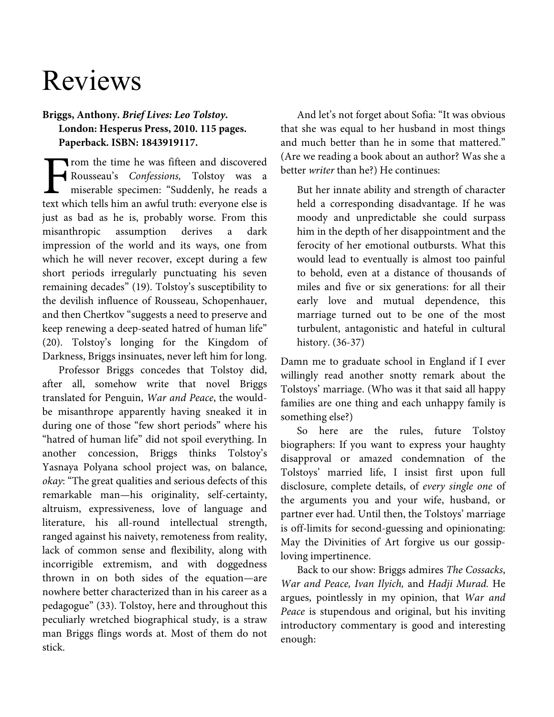## Reviews

## **Briggs, Anthony.** *Brief Lives: Leo Tolstoy.*  **London: Hesperus Press, 2010. 115 pages. Paperback. ISBN: 1843919117.**

Trom the time he was fifteen and discovered Rousseau's Confessions, Tolstoy was a miserable specimen: "Suddenly, he reads a Trom the time he was fifteen and discovered<br>Rousseau's *Confessions*, Tolstoy was a<br>miserable specimen: "Suddenly, he reads a<br>text which tells him an awful truth: everyone else is just as bad as he is, probably worse. From this misanthropic assumption derives a dark impression of the world and its ways, one from which he will never recover, except during a few short periods irregularly punctuating his seven remaining decades" (19). Tolstoy's susceptibility to the devilish influence of Rousseau, Schopenhauer, and then Chertkov "suggests a need to preserve and keep renewing a deep-seated hatred of human life" (20). Tolstoy's longing for the Kingdom of Darkness, Briggs insinuates, never left him for long.

Professor Briggs concedes that Tolstoy did, after all, somehow write that novel Briggs translated for Penguin, War and Peace, the wouldbe misanthrope apparently having sneaked it in during one of those "few short periods" where his "hatred of human life" did not spoil everything. In another concession, Briggs thinks Tolstoy's Yasnaya Polyana school project was, on balance, okay: "The great qualities and serious defects of this remarkable man—his originality, self-certainty, altruism, expressiveness, love of language and literature, his all-round intellectual strength, ranged against his naivety, remoteness from reality, lack of common sense and flexibility, along with incorrigible extremism, and with doggedness thrown in on both sides of the equation—are nowhere better characterized than in his career as a pedagogue" (33). Tolstoy, here and throughout this peculiarly wretched biographical study, is a straw man Briggs flings words at. Most of them do not stick.

And let's not forget about Sofia: "It was obvious that she was equal to her husband in most things and much better than he in some that mattered." (Are we reading a book about an author? Was she a better writer than he?) He continues:

But her innate ability and strength of character held a corresponding disadvantage. If he was moody and unpredictable she could surpass him in the depth of her disappointment and the ferocity of her emotional outbursts. What this would lead to eventually is almost too painful to behold, even at a distance of thousands of miles and five or six generations: for all their early love and mutual dependence, this marriage turned out to be one of the most turbulent, antagonistic and hateful in cultural history. (36-37)

Damn me to graduate school in England if I ever willingly read another snotty remark about the Tolstoys' marriage. (Who was it that said all happy families are one thing and each unhappy family is something else?)

So here are the rules, future Tolstoy biographers: If you want to express your haughty disapproval or amazed condemnation of the Tolstoys' married life, I insist first upon full disclosure, complete details, of every single one of the arguments you and your wife, husband, or partner ever had. Until then, the Tolstoys' marriage is off-limits for second-guessing and opinionating: May the Divinities of Art forgive us our gossiploving impertinence.

Back to our show: Briggs admires The Cossacks, War and Peace, Ivan Ilyich, and Hadji Murad. He argues, pointlessly in my opinion, that War and Peace is stupendous and original, but his inviting introductory commentary is good and interesting enough: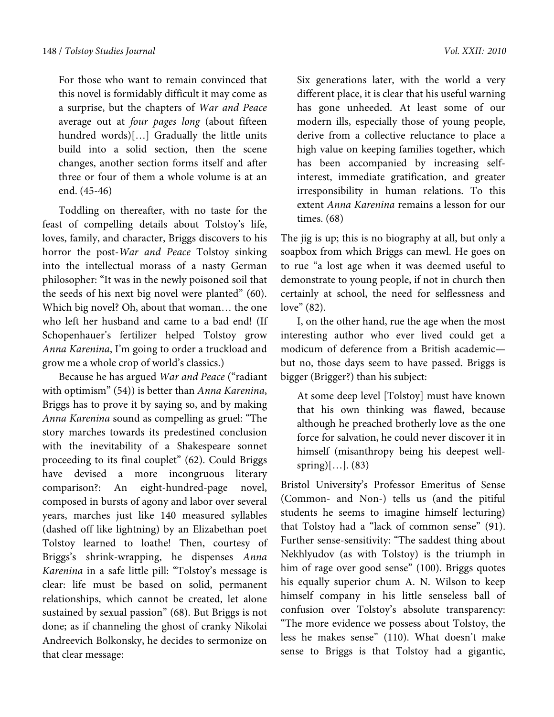For those who want to remain convinced that this novel is formidably difficult it may come as a surprise, but the chapters of War and Peace average out at four pages long (about fifteen hundred words)[…] Gradually the little units build into a solid section, then the scene changes, another section forms itself and after three or four of them a whole volume is at an end. (45-46)

Toddling on thereafter, with no taste for the feast of compelling details about Tolstoy's life, loves, family, and character, Briggs discovers to his horror the post-War and Peace Tolstoy sinking into the intellectual morass of a nasty German philosopher: "It was in the newly poisoned soil that the seeds of his next big novel were planted" (60). Which big novel? Oh, about that woman… the one who left her husband and came to a bad end! (If Schopenhauer's fertilizer helped Tolstoy grow Anna Karenina, I'm going to order a truckload and grow me a whole crop of world's classics.)

Because he has argued War and Peace ("radiant with optimism" (54)) is better than Anna Karenina, Briggs has to prove it by saying so, and by making Anna Karenina sound as compelling as gruel: "The story marches towards its predestined conclusion with the inevitability of a Shakespeare sonnet proceeding to its final couplet" (62). Could Briggs have devised a more incongruous literary comparison?: An eight-hundred-page novel, composed in bursts of agony and labor over several years, marches just like 140 measured syllables (dashed off like lightning) by an Elizabethan poet Tolstoy learned to loathe! Then, courtesy of Briggs's shrink-wrapping, he dispenses Anna Karenina in a safe little pill: "Tolstoy's message is clear: life must be based on solid, permanent relationships, which cannot be created, let alone sustained by sexual passion" (68). But Briggs is not done; as if channeling the ghost of cranky Nikolai Andreevich Bolkonsky, he decides to sermonize on that clear message:

Six generations later, with the world a very different place, it is clear that his useful warning has gone unheeded. At least some of our modern ills, especially those of young people, derive from a collective reluctance to place a high value on keeping families together, which

has been accompanied by increasing selfinterest, immediate gratification, and greater irresponsibility in human relations. To this extent Anna Karenina remains a lesson for our times. (68)

The jig is up; this is no biography at all, but only a soapbox from which Briggs can mewl. He goes on to rue "a lost age when it was deemed useful to demonstrate to young people, if not in church then certainly at school, the need for selflessness and love" (82).

I, on the other hand, rue the age when the most interesting author who ever lived could get a modicum of deference from a British academic but no, those days seem to have passed. Briggs is bigger (Brigger?) than his subject:

At some deep level [Tolstoy] must have known that his own thinking was flawed, because although he preached brotherly love as the one force for salvation, he could never discover it in himself (misanthropy being his deepest wellspring $[...]$ . (83)

Bristol University's Professor Emeritus of Sense (Common- and Non-) tells us (and the pitiful students he seems to imagine himself lecturing) that Tolstoy had a "lack of common sense" (91). Further sense-sensitivity: "The saddest thing about Nekhlyudov (as with Tolstoy) is the triumph in him of rage over good sense" (100). Briggs quotes his equally superior chum A. N. Wilson to keep himself company in his little senseless ball of confusion over Tolstoy's absolute transparency: "The more evidence we possess about Tolstoy, the less he makes sense" (110). What doesn't make sense to Briggs is that Tolstoy had a gigantic,